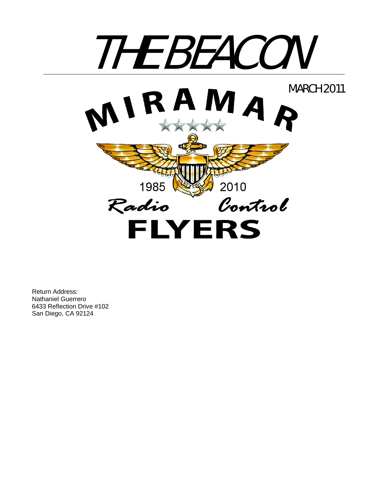

Return Address: Nathaniel Guerrero 6433 Reflection Drive #102 San Diego, CA 92124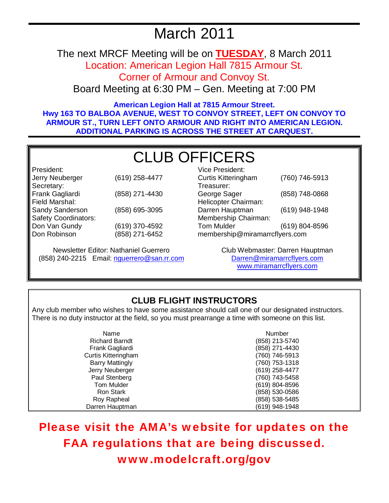# March 2011

The next MRCF Meeting will be on **TUESDAY**, 8 March 2011

Location: American Legion Hall 7815 Armour St.

Corner of Armour and Convoy St.

Board Meeting at 6:30 PM – Gen. Meeting at 7:00 PM

**American Legion Hall at 7815 Armour Street. Hwy 163 TO BALBOA AVENUE, WEST TO CONVOY STREET, LEFT ON CONVOY TO ARMOUR ST., TURN LEFT ONTO ARMOUR AND RIGHT INTO AMERICAN LEGION. ADDITIONAL PARKING IS ACROSS THE STREET AT CARQUEST.** 

# CLUB OFFICERS

President: Jerry Neuberger (619) 258-4477 Secretary: Frank Gagliardi (858) 271-4430 Field Marshal: Sandy Sanderson (858) 695-3095 Safety Coordinators: Don Van Gundy Don Robinson (619) 370-4592 (858) 271-6452

Newsletter Editor: Nathaniel Guerrero (858) 240-2215 Email: nguerrero@san.rr.com

| Vice President:                |                |  |
|--------------------------------|----------------|--|
| <b>Curtis Kitteringham</b>     | (760) 746-5913 |  |
| Treasurer:                     |                |  |
| George Sager                   | (858) 748-0868 |  |
| Helicopter Chairman:           |                |  |
| Darren Hauptman                | (619) 948-1948 |  |
| Membership Chairman:           |                |  |
| <b>Tom Mulder</b>              | (619) 804-8596 |  |
| membership@miramarrcflyers.com |                |  |

Club Webmaster: Darren Hauptman Darren@miramarrcflyers.com www.miramarrcflyers.com

# **CLUB FLIGHT INSTRUCTORS**

Any club member who wishes to have some assistance should call one of our designated instructors. There is no duty instructor at the field, so you must prearrange a time with someone on this list.

| Name                       | Number         |
|----------------------------|----------------|
| <b>Richard Barndt</b>      | (858) 213-5740 |
| Frank Gagliardi            | (858) 271-4430 |
| <b>Curtis Kitteringham</b> | (760) 746-5913 |
| <b>Barry Mattingly</b>     | (760) 753-1318 |
| Jerry Neuberger            | (619) 258-4477 |
| Paul Stenberg              | (760) 743-5458 |
| Tom Mulder                 | (619) 804-8596 |
| Ron Stark                  | (858) 530-0586 |
| Roy Rapheal                | (858) 538-5485 |
| Darren Hauptman            | (619) 948-1948 |

Please visit the AMA's website for updates on the FAA regulations that are being discussed. www.modelcraft.org/gov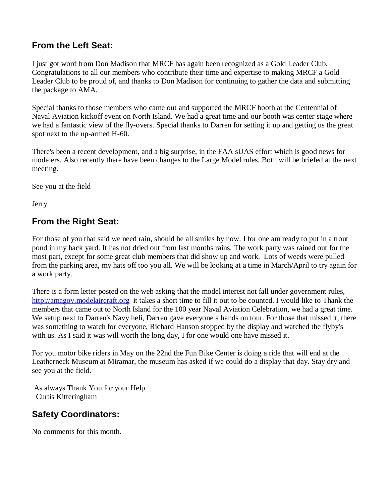## **From the Left Seat:**

I just got word from Don Madison that MRCF has again been recognized as a Gold Leader Club. Congratulations to all our members who contribute their time and expertise to making MRCF a Gold Leader Club to be proud of, and thanks to Don Madison for continuing to gather the data and submitting the package to AMA.

Special thanks to those members who came out and supported the MRCF booth at the Centennial of Naval Aviation kickoff event on North Island. We had a great time and our booth was center stage where we had a fantastic view of the fly-overs. Special thanks to Darren for setting it up and getting us the great spot next to the up-armed H-60.

There's been a recent development, and a big surprise, in the FAA sUAS effort which is good news for modelers. Also recently there have been changes to the Large Model rules. Both will be briefed at the next meeting.

See you at the field

Jerry

## **From the Right Seat:**

For those of you that said we need rain, should be all smiles by now. I for one am ready to put in a trout pond in my back yard. It has not dried out from last months rains. The work party was rained out for the most part, except for some great club members that did show up and work. Lots of weeds were pulled from the parking area, my hats off too you all. We will be looking at a time in March/April to try again for a work party.

There is a form letter posted on the web asking that the model interest not fall under government rules, http://amagov.modelaircraft.org it takes a short time to fill it out to be counted. I would like to Thank the members that came out to North Island for the 100 year Naval Aviation Celebration, we had a great time. We setup next to Darren's Navy heli, Darren gave everyone a hands on tour. For those that missed it, there was something to watch for everyone, Richard Hanson stopped by the display and watched the flyby's with us. As I said it was will worth the long day, I for one would one have missed it.

For you motor bike riders in May on the 22nd the Fun Bike Center is doing a ride that will end at the Leatherneck Museum at Miramar, the museum has asked if we could do a display that day. Stay dry and see you at the field.

 As always Thank You for your Help Curtis Kitteringham

## **Safety Coordinators:**

No comments for this month.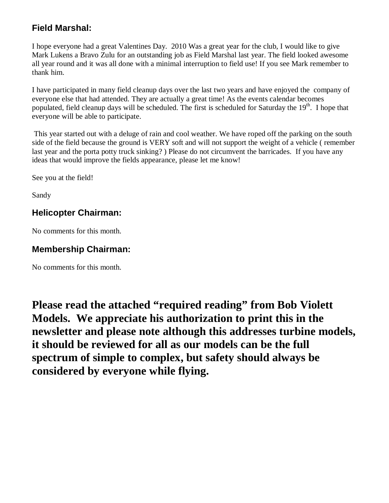## **Field Marshal:**

I hope everyone had a great Valentines Day. 2010 Was a great year for the club, I would like to give Mark Lukens a Bravo Zulu for an outstanding job as Field Marshal last year. The field looked awesome all year round and it was all done with a minimal interruption to field use! If you see Mark remember to thank him.

I have participated in many field cleanup days over the last two years and have enjoyed the company of everyone else that had attended. They are actually a great time! As the events calendar becomes populated, field cleanup days will be scheduled. The first is scheduled for Saturday the 19<sup>th</sup>. I hope that everyone will be able to participate.

 This year started out with a deluge of rain and cool weather. We have roped off the parking on the south side of the field because the ground is VERY soft and will not support the weight of a vehicle ( remember last year and the porta potty truck sinking? ) Please do not circumvent the barricades. If you have any ideas that would improve the fields appearance, please let me know!

See you at the field!

Sandy

## **Helicopter Chairman:**

No comments for this month.

## **Membership Chairman:**

No comments for this month.

**Please read the attached "required reading" from Bob Violett Models. We appreciate his authorization to print this in the newsletter and please note although this addresses turbine models, it should be reviewed for all as our models can be the full spectrum of simple to complex, but safety should always be considered by everyone while flying.**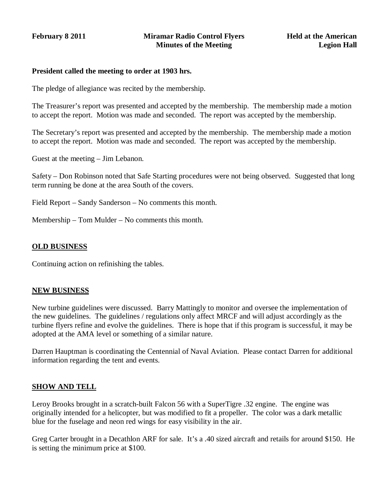#### **President called the meeting to order at 1903 hrs.**

The pledge of allegiance was recited by the membership.

The Treasurer's report was presented and accepted by the membership. The membership made a motion to accept the report. Motion was made and seconded. The report was accepted by the membership.

The Secretary's report was presented and accepted by the membership. The membership made a motion to accept the report. Motion was made and seconded. The report was accepted by the membership.

Guest at the meeting – Jim Lebanon.

Safety – Don Robinson noted that Safe Starting procedures were not being observed. Suggested that long term running be done at the area South of the covers.

Field Report – Sandy Sanderson – No comments this month.

Membership – Tom Mulder – No comments this month.

#### **OLD BUSINESS**

Continuing action on refinishing the tables.

#### **NEW BUSINESS**

New turbine guidelines were discussed. Barry Mattingly to monitor and oversee the implementation of the new guidelines. The guidelines / regulations only affect MRCF and will adjust accordingly as the turbine flyers refine and evolve the guidelines. There is hope that if this program is successful, it may be adopted at the AMA level or something of a similar nature.

Darren Hauptman is coordinating the Centennial of Naval Aviation. Please contact Darren for additional information regarding the tent and events.

#### **SHOW AND TELL**

Leroy Brooks brought in a scratch-built Falcon 56 with a SuperTigre .32 engine. The engine was originally intended for a helicopter, but was modified to fit a propeller. The color was a dark metallic blue for the fuselage and neon red wings for easy visibility in the air.

Greg Carter brought in a Decathlon ARF for sale. It's a .40 sized aircraft and retails for around \$150. He is setting the minimum price at \$100.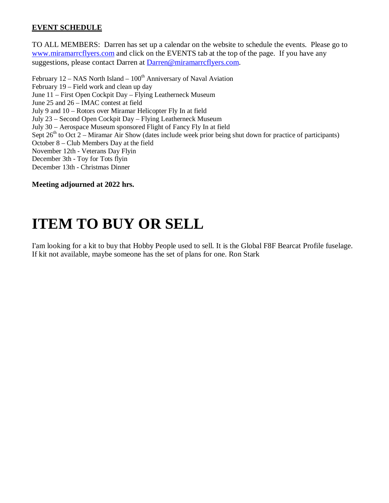### **EVENT SCHEDULE**

TO ALL MEMBERS: Darren has set up a calendar on the website to schedule the events. Please go to www.miramarrcflyers.com and click on the EVENTS tab at the top of the page. If you have any suggestions, please contact Darren at Darren@miramarrcflyers.com.

February  $12 - NASA$  North Island –  $100<sup>th</sup>$  Anniversary of Naval Aviation February 19 – Field work and clean up day June 11 – First Open Cockpit Day – Flying Leatherneck Museum June 25 and 26 – IMAC contest at field July 9 and 10 – Rotors over Miramar Helicopter Fly In at field July 23 – Second Open Cockpit Day – Flying Leatherneck Museum July 30 – Aerospace Museum sponsored Flight of Fancy Fly In at field Sept  $26<sup>th</sup>$  to Oct 2 – Miramar Air Show (dates include week prior being shut down for practice of participants) October 8 – Club Members Day at the field November 12th - Veterans Day Flyin December 3th - Toy for Tots flyin December 13th - Christmas Dinner

**Meeting adjourned at 2022 hrs.** 

# **ITEM TO BUY OR SELL**

I'am looking for a kit to buy that Hobby People used to sell. It is the Global F8F Bearcat Profile fuselage. If kit not available, maybe someone has the set of plans for one. Ron Stark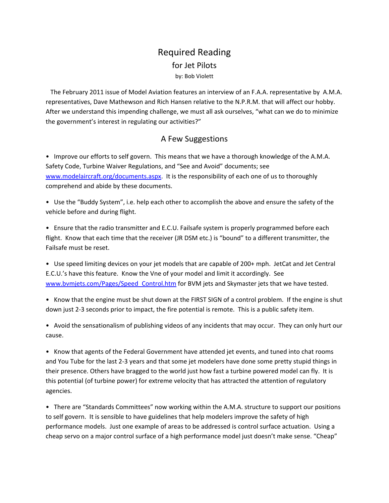## Required Reading for Jet Pilots by: Bob Violett

 The February 2011 issue of Model Aviation features an interview of an F.A.A. representative by A.M.A. representatives, Dave Mathewson and Rich Hansen relative to the N.P.R.M. that will affect our hobby. After we understand this impending challenge, we must all ask ourselves, "what can we do to minimize the government's interest in regulating our activities?"

### A Few Suggestions

• Improve our efforts to self govern. This means that we have a thorough knowledge of the A.M.A. Safety Code, Turbine Waiver Regulations, and "See and Avoid" documents; see www.modelaircraft.org/documents.aspx. It is the responsibility of each one of us to thoroughly comprehend and abide by these documents.

• Use the "Buddy System", i.e. help each other to accomplish the above and ensure the safety of the vehicle before and during flight.

• Ensure that the radio transmitter and E.C.U. Failsafe system is properly programmed before each flight. Know that each time that the receiver (JR DSM etc.) is "bound" to a different transmitter, the Failsafe must be reset.

• Use speed limiting devices on your jet models that are capable of 200+ mph. JetCat and Jet Central E.C.U.'s have this feature. Know the Vne of your model and limit it accordingly. See www.bvmjets.com/Pages/Speed\_Control.htm for BVM jets and Skymaster jets that we have tested.

• Know that the engine must be shut down at the FIRST SIGN of a control problem. If the engine is shut down just 2‐3 seconds prior to impact, the fire potential is remote. This is a public safety item.

• Avoid the sensationalism of publishing videos of any incidents that may occur. They can only hurt our cause.

• Know that agents of the Federal Government have attended jet events, and tuned into chat rooms and You Tube for the last 2‐3 years and that some jet modelers have done some pretty stupid things in their presence. Others have bragged to the world just how fast a turbine powered model can fly. It is this potential (of turbine power) for extreme velocity that has attracted the attention of regulatory agencies.

• There are "Standards Committees" now working within the A.M.A. structure to support our positions to self govern. It is sensible to have guidelines that help modelers improve the safety of high performance models. Just one example of areas to be addressed is control surface actuation. Using a cheap servo on a major control surface of a high performance model just doesn't make sense. "Cheap"